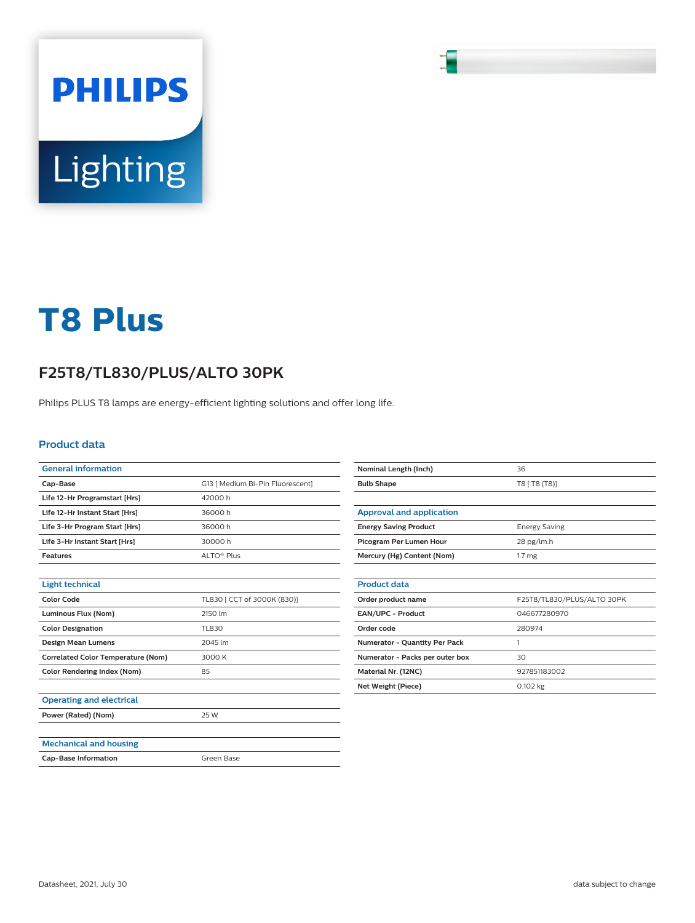# Lighting

**PHILIPS** 

# **T8 Plus**

## **F25T8/TL830/PLUS/ALTO 30PK**

Philips PLUS T8 lamps are energy-efficient lighting solutions and offer long life.

### **Product data**

| <b>General information</b>                |                                  |
|-------------------------------------------|----------------------------------|
| Cap-Base                                  | G13   Medium Bi-Pin Fluorescent] |
| Life 12-Hr Programstart [Hrs]             | 42000h                           |
| Life 12-Hr Instant Start [Hrs]            | 36000h                           |
| Life 3-Hr Program Start [Hrs]             | 36000h                           |
| Life 3-Hr Instant Start [Hrs]             | 30000h                           |
| <b>Features</b>                           | ALTO <sup>®</sup> Plus           |
|                                           |                                  |
| <b>Light technical</b>                    |                                  |
| <b>Color Code</b>                         | TL830   CCT of 3000K (830)]      |
| Luminous Flux (Nom)                       | 2150 lm                          |
| <b>Color Designation</b>                  | TL830                            |
| <b>Design Mean Lumens</b>                 | 2045 lm                          |
| <b>Correlated Color Temperature (Nom)</b> | 3000 K                           |
| <b>Color Rendering Index (Nom)</b>        | 85                               |
|                                           |                                  |
| <b>Operating and electrical</b>           |                                  |
| Power (Rated) (Nom)                       | 25 W                             |
|                                           |                                  |
| <b>Mechanical and housing</b>             |                                  |
| <b>Cap-Base Information</b>               | Green Base                       |
|                                           |                                  |

| Nominal Length (Inch)           | 36                         |
|---------------------------------|----------------------------|
| <b>Bulb Shape</b>               | T8 [ T8 (T8)]              |
|                                 |                            |
| <b>Approval and application</b> |                            |
| <b>Energy Saving Product</b>    | <b>Energy Saving</b>       |
| Picogram Per Lumen Hour         | 28 pg/lm.h                 |
| Mercury (Hg) Content (Nom)      | 1.7 <sub>mg</sub>          |
|                                 |                            |
| <b>Product data</b>             |                            |
| Order product name              | F25T8/TL830/PLUS/ALTO 30PK |
| EAN/UPC - Product               | 046677280970               |
| Order code                      | 280974                     |
| Numerator - Quantity Per Pack   | 1                          |
| Numerator - Packs per outer box | 30                         |
| Material Nr. (12NC)             | 927851183002               |
| <b>Net Weight (Piece)</b>       | 0.102 kg                   |